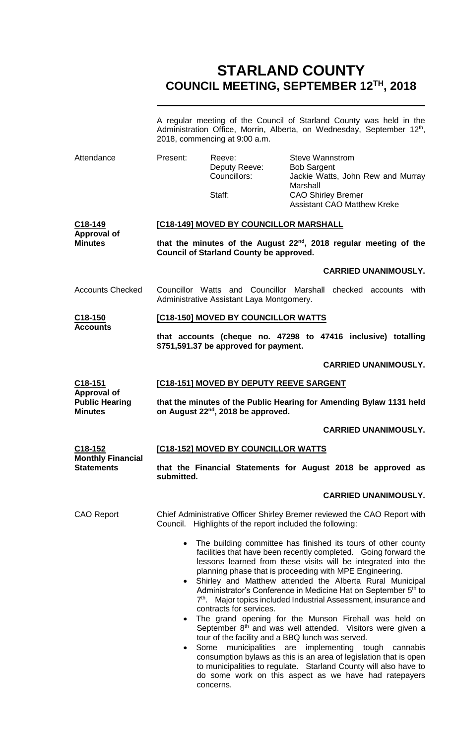# **STARLAND COUNTY COUNCIL MEETING, SEPTEMBER 12TH, 2018**

A regular meeting of the Council of Starland County was held in the Administration Office, Morrin, Alberta, on Wednesday, September 12<sup>th</sup>, 2018, commencing at 9:00 a.m.

Attendance Present: Reeve: Steve Wannstrom Deputy Reeve: Bob Sargent

**Minutes**

Councillors: Jackie Watts, John Rew and Murray Marshall Staff: CAO Shirley Bremer Assistant CAO Matthew Kreke

#### **C18-149 Approval of [C18-149] MOVED BY COUNCILLOR MARSHALL**

**that the minutes of the August 22nd, 2018 regular meeting of the Council of Starland County be approved.**

### **CARRIED UNANIMOUSLY.**

Accounts Checked Councillor Watts and Councillor Marshall checked accounts with Administrative Assistant Laya Montgomery.

#### **C18-150 Accounts [C18-150] MOVED BY COUNCILLOR WATTS**

**that accounts (cheque no. 47298 to 47416 inclusive) totalling \$751,591.37 be approved for payment.**

#### **CARRIED UNANIMOUSLY.**

| C18-151               | <b>[C18-151] MOVED BY DEPUTY REEVE SARGENT</b>                      |
|-----------------------|---------------------------------------------------------------------|
| Approval of           |                                                                     |
| <b>Public Hearing</b> | that the minutes of the Public Hearing for Amending Bylaw 1131 held |
| Minutes               | on August 22 <sup>nd</sup> , 2018 be approved.                      |

#### **CARRIED UNANIMOUSLY.**

| <u>C18-152</u><br><b>Monthly Financial</b> | [C18-152] MOVED BY COUNCILLOR WATTS                                                                                                                                                                                                                                                                                                                                                                                                                                            |
|--------------------------------------------|--------------------------------------------------------------------------------------------------------------------------------------------------------------------------------------------------------------------------------------------------------------------------------------------------------------------------------------------------------------------------------------------------------------------------------------------------------------------------------|
| Statements                                 | that the Financial Statements for August 2018 be approved as<br>submitted.                                                                                                                                                                                                                                                                                                                                                                                                     |
|                                            | <b>CARRIED UNANIMOUSLY.</b>                                                                                                                                                                                                                                                                                                                                                                                                                                                    |
| CAO Report                                 | Chief Administrative Officer Shirley Bremer reviewed the CAO Report with<br>Council. Highlights of the report included the following:<br>The building committee has finished its tours of other county<br>facilities that have been recently completed. Going forward the<br>lessons learned from these visits will be integrated into the<br>planning phase that is proceeding with MPE Engineering.<br>Shirley and Matthew attended the Alberta Rural Municipal<br>$\bullet$ |
|                                            | Administrator's Conference in Medicine Hat on September 5th to<br>7 <sup>th</sup> . Major topics included Industrial Assessment, insurance and<br>contracts for services.                                                                                                                                                                                                                                                                                                      |
|                                            | The grand opening for the Munson Firehall was held on<br>$\bullet$<br>September 8 <sup>th</sup> and was well attended. Visitors were given a<br>tour of the facility and a BBQ lunch was served.                                                                                                                                                                                                                                                                               |
|                                            | Some municipalities are implementing tough cannabis<br>$\bullet$<br>consumption bylaws as this is an area of legislation that is open<br>to municipalities to regulate. Starland County will also have to                                                                                                                                                                                                                                                                      |

concerns.

do some work on this aspect as we have had ratepayers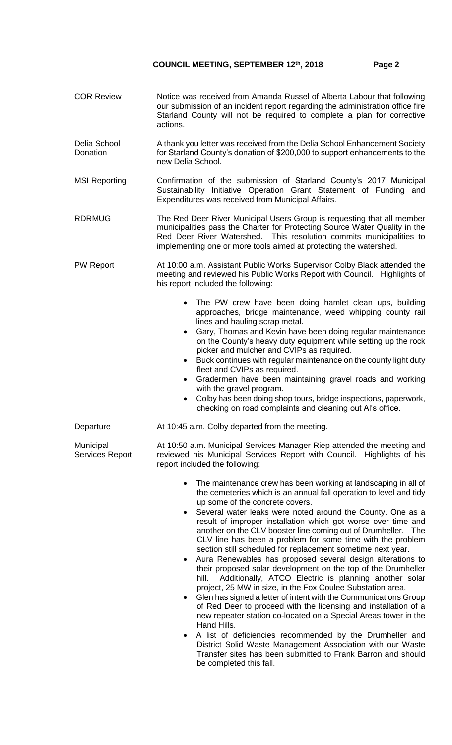COR Review Notice was received from Amanda Russel of Alberta Labour that following

our submission of an incident report regarding the administration office fire Starland County will not be required to complete a plan for corrective actions. Delia School **Donation** A thank you letter was received from the Delia School Enhancement Society for Starland County's donation of \$200,000 to support enhancements to the new Delia School. MSI Reporting Confirmation of the submission of Starland County's 2017 Municipal Sustainability Initiative Operation Grant Statement of Funding and Expenditures was received from Municipal Affairs. RDRMUG The Red Deer River Municipal Users Group is requesting that all member municipalities pass the Charter for Protecting Source Water Quality in the Red Deer River Watershed. This resolution commits municipalities to implementing one or more tools aimed at protecting the watershed. PW Report **At 10:00 a.m. Assistant Public Works Supervisor Colby Black attended the** meeting and reviewed his Public Works Report with Council. Highlights of his report included the following: • The PW crew have been doing hamlet clean ups, building approaches, bridge maintenance, weed whipping county rail lines and hauling scrap metal. Gary, Thomas and Kevin have been doing regular maintenance on the County's heavy duty equipment while setting up the rock picker and mulcher and CVIPs as required. Buck continues with regular maintenance on the county light duty fleet and CVIPs as required. Gradermen have been maintaining gravel roads and working with the gravel program. Colby has been doing shop tours, bridge inspections, paperwork, checking on road complaints and cleaning out Al's office. Departure **At 10:45 a.m. Colby departed from the meeting.** Municipal Services Report At 10:50 a.m. Municipal Services Manager Riep attended the meeting and reviewed his Municipal Services Report with Council. Highlights of his report included the following: The maintenance crew has been working at landscaping in all of the cemeteries which is an annual fall operation to level and tidy up some of the concrete covers. Several water leaks were noted around the County. One as a result of improper installation which got worse over time and another on the CLV booster line coming out of Drumheller. The CLV line has been a problem for some time with the problem section still scheduled for replacement sometime next year. Aura Renewables has proposed several design alterations to their proposed solar development on the top of the Drumheller hill. Additionally, ATCO Electric is planning another solar project, 25 MW in size, in the Fox Coulee Substation area. Glen has signed a letter of intent with the Communications Group of Red Deer to proceed with the licensing and installation of a new repeater station co-located on a Special Areas tower in the Hand Hills. A list of deficiencies recommended by the Drumheller and District Solid Waste Management Association with our Waste Transfer sites has been submitted to Frank Barron and should be completed this fall.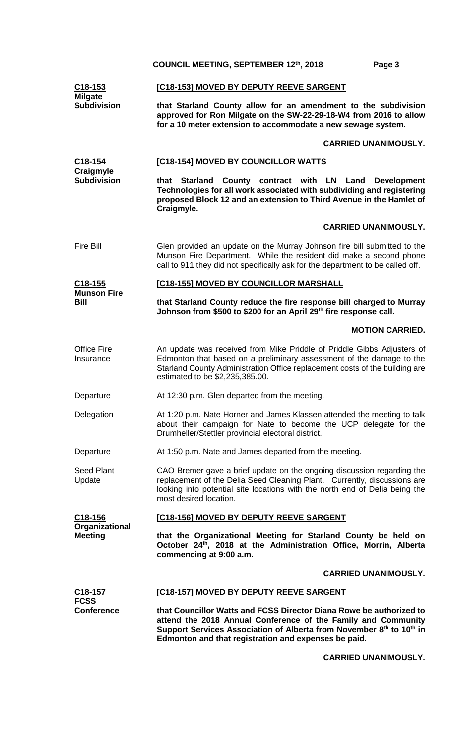| C18-153<br><b>Milgate</b>        | [C18-153] MOVED BY DEPUTY REEVE SARGENT                                                                                                                                                                                                                              |  |
|----------------------------------|----------------------------------------------------------------------------------------------------------------------------------------------------------------------------------------------------------------------------------------------------------------------|--|
| <b>Subdivision</b>               | that Starland County allow for an amendment to the subdivision<br>approved for Ron Milgate on the SW-22-29-18-W4 from 2016 to allow<br>for a 10 meter extension to accommodate a new sewage system.                                                                  |  |
|                                  | <b>CARRIED UNANIMOUSLY.</b>                                                                                                                                                                                                                                          |  |
| <u>C18-154</u>                   | <b>[C18-154] MOVED BY COUNCILLOR WATTS</b>                                                                                                                                                                                                                           |  |
| Craigmyle<br><b>Subdivision</b>  | that Starland County contract with LN Land Development<br>Technologies for all work associated with subdividing and registering<br>proposed Block 12 and an extension to Third Avenue in the Hamlet of<br>Craigmyle.                                                 |  |
|                                  | <b>CARRIED UNANIMOUSLY.</b>                                                                                                                                                                                                                                          |  |
| <b>Fire Bill</b>                 | Glen provided an update on the Murray Johnson fire bill submitted to the<br>Munson Fire Department. While the resident did make a second phone<br>call to 911 they did not specifically ask for the department to be called off.                                     |  |
| C <sub>18</sub> -155             | [C18-155] MOVED BY COUNCILLOR MARSHALL                                                                                                                                                                                                                               |  |
| <b>Munson Fire</b><br>Bill       | that Starland County reduce the fire response bill charged to Murray<br>Johnson from \$500 to \$200 for an April 29th fire response call.                                                                                                                            |  |
|                                  | <b>MOTION CARRIED.</b>                                                                                                                                                                                                                                               |  |
| <b>Office Fire</b><br>Insurance  | An update was received from Mike Priddle of Priddle Gibbs Adjusters of<br>Edmonton that based on a preliminary assessment of the damage to the<br>Starland County Administration Office replacement costs of the building are<br>estimated to be \$2,235,385.00.     |  |
| Departure                        | At 12:30 p.m. Glen departed from the meeting.                                                                                                                                                                                                                        |  |
| Delegation                       | At 1:20 p.m. Nate Horner and James Klassen attended the meeting to talk<br>about their campaign for Nate to become the UCP delegate for the<br>Drumheller/Stettler provincial electoral district.                                                                    |  |
| Departure                        | At 1:50 p.m. Nate and James departed from the meeting.                                                                                                                                                                                                               |  |
| <b>Seed Plant</b><br>Update      | CAO Bremer gave a brief update on the ongoing discussion regarding the<br>replacement of the Delia Seed Cleaning Plant. Currently, discussions are<br>looking into potential site locations with the north end of Delia being the<br>most desired location.          |  |
| C18-156                          | [C18-156] MOVED BY DEPUTY REEVE SARGENT                                                                                                                                                                                                                              |  |
| Organizational<br>Meeting        | that the Organizational Meeting for Starland County be held on<br>October 24th, 2018 at the Administration Office, Morrin, Alberta<br>commencing at 9:00 a.m.                                                                                                        |  |
|                                  | <b>CARRIED UNANIMOUSLY.</b>                                                                                                                                                                                                                                          |  |
| <u>C18-157</u>                   | <b>[C18-157] MOVED BY DEPUTY REEVE SARGENT</b>                                                                                                                                                                                                                       |  |
| <b>FCSS</b><br><b>Conference</b> | that Councillor Watts and FCSS Director Diana Rowe be authorized to<br>attend the 2018 Annual Conference of the Family and Community<br>Support Services Association of Alberta from November 8th to 10th in<br>Edmonton and that registration and expenses be paid. |  |

## **CARRIED UNANIMOUSLY.**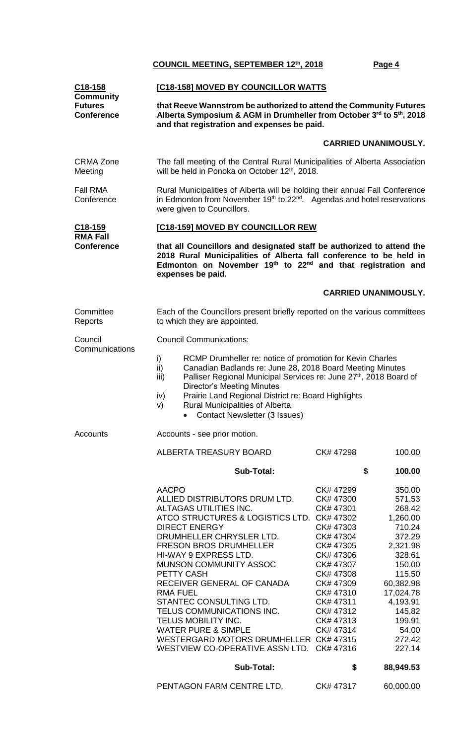| C <sub>18</sub> -158<br><b>Community</b>                                                                                                                                                                                        | [C18-158] MOVED BY COUNCILLOR WATTS                                                                                                                                                                                                                                                                                                                                                                                                                                                                                                                                                           |                                                                                                                                                                                                                    |                                                                                                                                                                                                                       |  |  |
|---------------------------------------------------------------------------------------------------------------------------------------------------------------------------------------------------------------------------------|-----------------------------------------------------------------------------------------------------------------------------------------------------------------------------------------------------------------------------------------------------------------------------------------------------------------------------------------------------------------------------------------------------------------------------------------------------------------------------------------------------------------------------------------------------------------------------------------------|--------------------------------------------------------------------------------------------------------------------------------------------------------------------------------------------------------------------|-----------------------------------------------------------------------------------------------------------------------------------------------------------------------------------------------------------------------|--|--|
| <b>Futures</b><br>that Reeve Wannstrom be authorized to attend the Community Futures<br>Alberta Symposium & AGM in Drumheller from October 3rd to 5th, 2018<br><b>Conference</b><br>and that registration and expenses be paid. |                                                                                                                                                                                                                                                                                                                                                                                                                                                                                                                                                                                               |                                                                                                                                                                                                                    |                                                                                                                                                                                                                       |  |  |
|                                                                                                                                                                                                                                 |                                                                                                                                                                                                                                                                                                                                                                                                                                                                                                                                                                                               |                                                                                                                                                                                                                    | <b>CARRIED UNANIMOUSLY.</b>                                                                                                                                                                                           |  |  |
| <b>CRMA Zone</b><br>Meeting                                                                                                                                                                                                     | The fall meeting of the Central Rural Municipalities of Alberta Association<br>will be held in Ponoka on October 12 <sup>th</sup> , 2018.                                                                                                                                                                                                                                                                                                                                                                                                                                                     |                                                                                                                                                                                                                    |                                                                                                                                                                                                                       |  |  |
| <b>Fall RMA</b><br>Conference                                                                                                                                                                                                   | Rural Municipalities of Alberta will be holding their annual Fall Conference<br>in Edmonton from November 19 <sup>th</sup> to 22 <sup>nd</sup> . Agendas and hotel reservations<br>were given to Councillors.                                                                                                                                                                                                                                                                                                                                                                                 |                                                                                                                                                                                                                    |                                                                                                                                                                                                                       |  |  |
| C <sub>18</sub> -159                                                                                                                                                                                                            | [C18-159] MOVED BY COUNCILLOR REW                                                                                                                                                                                                                                                                                                                                                                                                                                                                                                                                                             |                                                                                                                                                                                                                    |                                                                                                                                                                                                                       |  |  |
| <b>RMA Fall</b><br><b>Conference</b>                                                                                                                                                                                            | that all Councillors and designated staff be authorized to attend the<br>2018 Rural Municipalities of Alberta fall conference to be held in<br>Edmonton on November 19 <sup>th</sup> to 22 <sup>nd</sup> and that registration and<br>expenses be paid.                                                                                                                                                                                                                                                                                                                                       |                                                                                                                                                                                                                    |                                                                                                                                                                                                                       |  |  |
|                                                                                                                                                                                                                                 |                                                                                                                                                                                                                                                                                                                                                                                                                                                                                                                                                                                               |                                                                                                                                                                                                                    | <b>CARRIED UNANIMOUSLY.</b>                                                                                                                                                                                           |  |  |
| Committee<br>Reports                                                                                                                                                                                                            | Each of the Councillors present briefly reported on the various committees<br>to which they are appointed.                                                                                                                                                                                                                                                                                                                                                                                                                                                                                    |                                                                                                                                                                                                                    |                                                                                                                                                                                                                       |  |  |
| Council<br>Communications                                                                                                                                                                                                       | <b>Council Communications:</b>                                                                                                                                                                                                                                                                                                                                                                                                                                                                                                                                                                |                                                                                                                                                                                                                    |                                                                                                                                                                                                                       |  |  |
|                                                                                                                                                                                                                                 | RCMP Drumheller re: notice of promotion for Kevin Charles<br>i)<br>Canadian Badlands re: June 28, 2018 Board Meeting Minutes<br>ii)<br>Palliser Regional Municipal Services re: June 27 <sup>th</sup> , 2018 Board of<br>iii)<br><b>Director's Meeting Minutes</b><br>Prairie Land Regional District re: Board Highlights<br>iv)<br><b>Rural Municipalities of Alberta</b><br>V)<br><b>Contact Newsletter (3 Issues)</b><br>$\bullet$                                                                                                                                                         |                                                                                                                                                                                                                    |                                                                                                                                                                                                                       |  |  |
| <b>Accounts</b>                                                                                                                                                                                                                 | Accounts - see prior motion.                                                                                                                                                                                                                                                                                                                                                                                                                                                                                                                                                                  |                                                                                                                                                                                                                    |                                                                                                                                                                                                                       |  |  |
|                                                                                                                                                                                                                                 | <b>ALBERTA TREASURY BOARD</b>                                                                                                                                                                                                                                                                                                                                                                                                                                                                                                                                                                 | CK# 47298                                                                                                                                                                                                          | 100.00                                                                                                                                                                                                                |  |  |
|                                                                                                                                                                                                                                 | <b>Sub-Total:</b>                                                                                                                                                                                                                                                                                                                                                                                                                                                                                                                                                                             |                                                                                                                                                                                                                    | \$<br>100.00                                                                                                                                                                                                          |  |  |
|                                                                                                                                                                                                                                 | <b>AACPO</b><br>ALLIED DISTRIBUTORS DRUM LTD.<br>ALTAGAS UTILITIES INC.<br>ATCO STRUCTURES & LOGISTICS LTD. CK# 47302<br><b>DIRECT ENERGY</b><br>DRUMHELLER CHRYSLER LTD.<br><b>FRESON BROS DRUMHELLER</b><br>HI-WAY 9 EXPRESS LTD.<br><b>MUNSON COMMUNITY ASSOC</b><br>PETTY CASH<br>RECEIVER GENERAL OF CANADA<br><b>RMA FUEL</b><br>STANTEC CONSULTING LTD.<br>TELUS COMMUNICATIONS INC.<br>TELUS MOBILITY INC.<br><b>WATER PURE &amp; SIMPLE</b><br>WESTERGARD MOTORS DRUMHELLER CK# 47315<br>WESTVIEW CO-OPERATIVE ASSN LTD. CK# 47316<br><b>Sub-Total:</b><br>PENTAGON FARM CENTRE LTD. | CK# 47299<br>CK# 47300<br>CK# 47301<br>CK# 47303<br>CK# 47304<br>CK# 47305<br>CK# 47306<br>CK# 47307<br>CK# 47308<br>CK# 47309<br>CK# 47310<br>CK# 47311<br>CK# 47312<br>CK# 47313<br>CK# 47314<br>\$<br>CK# 47317 | 350.00<br>571.53<br>268.42<br>1,260.00<br>710.24<br>372.29<br>2,321.98<br>328.61<br>150.00<br>115.50<br>60,382.98<br>17,024.78<br>4,193.91<br>145.82<br>199.91<br>54.00<br>272.42<br>227.14<br>88,949.53<br>60,000.00 |  |  |
|                                                                                                                                                                                                                                 |                                                                                                                                                                                                                                                                                                                                                                                                                                                                                                                                                                                               |                                                                                                                                                                                                                    |                                                                                                                                                                                                                       |  |  |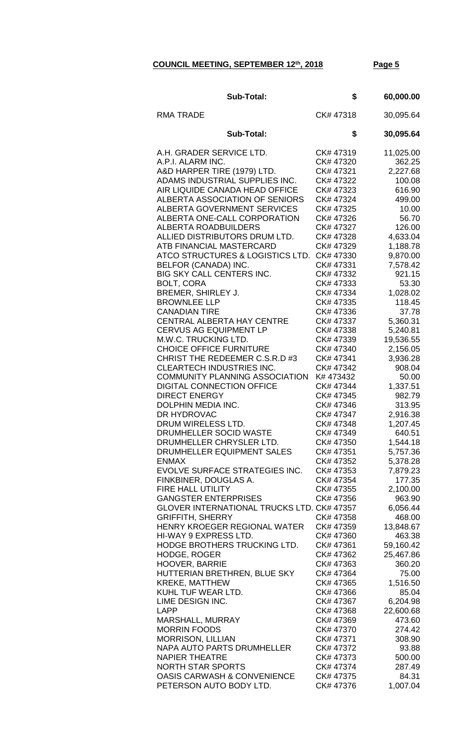| <b>Sub-Total:</b>                                                                                                                                                                                                                                                                                                                                                                                                                                                                                                                                                                                                                                                                                                                                                                                                                                                                                                                                                                                                                                                                                                                                                                                                                                                                                                                                                                                    | \$                                                                                                                                                                                                                                                                                                                                                                                                                                                                                                                                                                                                                 | 60,000.00                                                                                                                                                                                                                                                                                                                                                                                                                                                                                                                           |
|------------------------------------------------------------------------------------------------------------------------------------------------------------------------------------------------------------------------------------------------------------------------------------------------------------------------------------------------------------------------------------------------------------------------------------------------------------------------------------------------------------------------------------------------------------------------------------------------------------------------------------------------------------------------------------------------------------------------------------------------------------------------------------------------------------------------------------------------------------------------------------------------------------------------------------------------------------------------------------------------------------------------------------------------------------------------------------------------------------------------------------------------------------------------------------------------------------------------------------------------------------------------------------------------------------------------------------------------------------------------------------------------------|--------------------------------------------------------------------------------------------------------------------------------------------------------------------------------------------------------------------------------------------------------------------------------------------------------------------------------------------------------------------------------------------------------------------------------------------------------------------------------------------------------------------------------------------------------------------------------------------------------------------|-------------------------------------------------------------------------------------------------------------------------------------------------------------------------------------------------------------------------------------------------------------------------------------------------------------------------------------------------------------------------------------------------------------------------------------------------------------------------------------------------------------------------------------|
| <b>RMA TRADE</b>                                                                                                                                                                                                                                                                                                                                                                                                                                                                                                                                                                                                                                                                                                                                                                                                                                                                                                                                                                                                                                                                                                                                                                                                                                                                                                                                                                                     | CK#47318                                                                                                                                                                                                                                                                                                                                                                                                                                                                                                                                                                                                           | 30,095.64                                                                                                                                                                                                                                                                                                                                                                                                                                                                                                                           |
| <b>Sub-Total:</b>                                                                                                                                                                                                                                                                                                                                                                                                                                                                                                                                                                                                                                                                                                                                                                                                                                                                                                                                                                                                                                                                                                                                                                                                                                                                                                                                                                                    | \$                                                                                                                                                                                                                                                                                                                                                                                                                                                                                                                                                                                                                 | 30,095.64                                                                                                                                                                                                                                                                                                                                                                                                                                                                                                                           |
| A.H. GRADER SERVICE LTD.<br>A.P.I. ALARM INC.<br>A&D HARPER TIRE (1979) LTD.<br>ADAMS INDUSTRIAL SUPPLIES INC.<br>AIR LIQUIDE CANADA HEAD OFFICE<br>ALBERTA ASSOCIATION OF SENIORS<br><b>ALBERTA GOVERNMENT SERVICES</b><br>ALBERTA ONE-CALL CORPORATION<br><b>ALBERTA ROADBUILDERS</b><br>ALLIED DISTRIBUTORS DRUM LTD.<br>ATB FINANCIAL MASTERCARD<br>ATCO STRUCTURES & LOGISTICS LTD.<br>BELFOR (CANADA) INC.<br>BIG SKY CALL CENTERS INC.<br><b>BOLT, CORA</b><br>BREMER, SHIRLEY J.<br><b>BROWNLEE LLP</b><br><b>CANADIAN TIRE</b><br>CENTRAL ALBERTA HAY CENTRE<br><b>CERVUS AG EQUIPMENT LP</b><br>M.W.C. TRUCKING LTD.<br><b>CHOICE OFFICE FURNITURE</b><br>CHRIST THE REDEEMER C.S.R.D #3<br>CLEARTECH INDUSTRIES INC.<br><b>COMMUNITY PLANNING ASSOCIATION</b><br><b>DIGITAL CONNECTION OFFICE</b><br><b>DIRECT ENERGY</b><br>DOLPHIN MEDIA INC.<br>DR HYDROVAC<br>DRUM WIRELESS LTD.<br>DRUMHELLER SOCID WASTE<br>DRUMHELLER CHRYSLER LTD.<br>DRUMHELLER EQUIPMENT SALES<br><b>ENMAX</b><br>EVOLVE SURFACE STRATEGIES INC.<br>FINKBINER, DOUGLAS A.<br><b>FIRE HALL UTILITY</b><br><b>GANGSTER ENTERPRISES</b><br>GLOVER INTERNATIONAL TRUCKS LTD. CK# 47357<br><b>GRIFFITH, SHERRY</b><br>HENRY KROEGER REGIONAL WATER<br>HI-WAY 9 EXPRESS LTD.<br>HODGE BROTHERS TRUCKING LTD.<br><b>HODGE, ROGER</b><br><b>HOOVER, BARRIE</b><br>HUTTERIAN BRETHREN, BLUE SKY<br><b>KREKE, MATTHEW</b> | CK# 47319<br>CK# 47320<br>CK# 47321<br>CK# 47322<br>CK# 47323<br>CK# 47324<br>CK# 47325<br>CK# 47326<br>CK# 47327<br>CK# 47328<br>CK# 47329<br>CK# 47330<br>CK# 47331<br>CK# 47332<br>CK# 47333<br>CK# 47334<br>CK# 47335<br>CK# 47336<br>CK# 47337<br>CK# 47338<br>CK# 47339<br>CK# 47340<br>CK# 47341<br>CK# 47342<br>K# 473432<br>CK# 47344<br>CK# 47345<br>CK# 47346<br>CK# 47347<br>CK# 47348<br>CK# 47349<br>CK# 47350<br>CK# 47351<br>CK# 47352<br>CK# 47353<br>CK# 47354<br>CK# 47355<br>CK# 47356<br>CK# 47358<br>CK# 47359<br>CK# 47360<br>CK# 47361<br>CK# 47362<br>CK# 47363<br>CK# 47364<br>CK# 47365 | 11,025.00<br>362.25<br>2,227.68<br>100.08<br>616.90<br>499.00<br>10.00<br>56.70<br>126.00<br>4,633.04<br>1,188.78<br>9,870.00<br>7,578.42<br>921.15<br>53.30<br>1,028.02<br>118.45<br>37.78<br>5,360.31<br>5,240.81<br>19,536.55<br>2,156.05<br>3,936.28<br>908.04<br>50.00<br>1,337.51<br>982.79<br>313.95<br>2,916.38<br>1,207.45<br>640.51<br>1,544.18<br>5,757.36<br>5,378.28<br>7,879.23<br>177.35<br>2,100.00<br>963.90<br>6,056.44<br>468.00<br>13,848.67<br>463.38<br>59,160.42<br>25,467.86<br>360.20<br>75.00<br>1,516.50 |
| KUHL TUF WEAR LTD.<br>LIME DESIGN INC.<br><b>LAPP</b>                                                                                                                                                                                                                                                                                                                                                                                                                                                                                                                                                                                                                                                                                                                                                                                                                                                                                                                                                                                                                                                                                                                                                                                                                                                                                                                                                | CK# 47366<br>CK# 47367<br>CK# 47368                                                                                                                                                                                                                                                                                                                                                                                                                                                                                                                                                                                | 85.04<br>6,204.98<br>22,600.68                                                                                                                                                                                                                                                                                                                                                                                                                                                                                                      |
| MARSHALL, MURRAY<br><b>MORRIN FOODS</b><br><b>MORRISON, LILLIAN</b><br>NAPA AUTO PARTS DRUMHELLER<br><b>NAPIER THEATRE</b>                                                                                                                                                                                                                                                                                                                                                                                                                                                                                                                                                                                                                                                                                                                                                                                                                                                                                                                                                                                                                                                                                                                                                                                                                                                                           | CK# 47369<br>CK# 47370<br>CK# 47371<br>CK# 47372<br>CK# 47373                                                                                                                                                                                                                                                                                                                                                                                                                                                                                                                                                      | 473.60<br>274.42<br>308.90<br>93.88<br>500.00                                                                                                                                                                                                                                                                                                                                                                                                                                                                                       |
| <b>NORTH STAR SPORTS</b><br><b>OASIS CARWASH &amp; CONVENIENCE</b><br>PETERSON AUTO BODY LTD.                                                                                                                                                                                                                                                                                                                                                                                                                                                                                                                                                                                                                                                                                                                                                                                                                                                                                                                                                                                                                                                                                                                                                                                                                                                                                                        | CK# 47374<br>CK# 47375<br>CK# 47376                                                                                                                                                                                                                                                                                                                                                                                                                                                                                                                                                                                | 287.49<br>84.31<br>1,007.04                                                                                                                                                                                                                                                                                                                                                                                                                                                                                                         |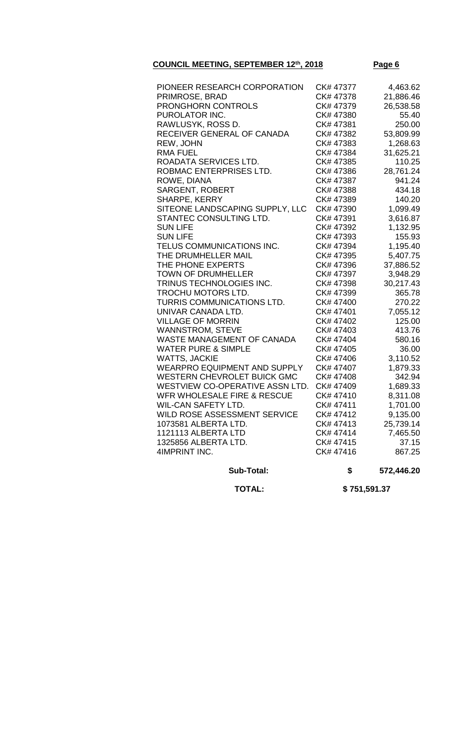| PIONEER RESEARCH CORPORATION        | CK# 47377 | 4,463.62  |
|-------------------------------------|-----------|-----------|
| PRIMROSE, BRAD                      | CK# 47378 | 21,886.46 |
| PRONGHORN CONTROLS                  | CK# 47379 | 26,538.58 |
| PUROLATOR INC.                      | CK# 47380 | 55.40     |
| RAWLUSYK, ROSS D.                   | CK# 47381 | 250.00    |
| RECEIVER GENERAL OF CANADA          | CK# 47382 | 53,809.99 |
| REW, JOHN                           | CK# 47383 | 1,268.63  |
| <b>RMA FUEL</b>                     | CK# 47384 | 31,625.21 |
| ROADATA SERVICES LTD.               | CK# 47385 | 110.25    |
| ROBMAC ENTERPRISES LTD.             | CK# 47386 | 28,761.24 |
| ROWE, DIANA                         | CK# 47387 | 941.24    |
| SARGENT, ROBERT                     | CK# 47388 | 434.18    |
| SHARPE, KERRY                       | CK# 47389 | 140.20    |
| SITEONE LANDSCAPING SUPPLY, LLC     | CK# 47390 | 1,099.49  |
| STANTEC CONSULTING LTD.             | CK# 47391 | 3,616.87  |
| <b>SUN LIFE</b>                     | CK# 47392 | 1,132.95  |
| <b>SUN LIFE</b>                     | CK# 47393 | 155.93    |
| TELUS COMMUNICATIONS INC.           | CK# 47394 | 1,195.40  |
| THE DRUMHELLER MAIL                 | CK# 47395 | 5,407.75  |
| THE PHONE EXPERTS                   | CK# 47396 | 37,886.52 |
| <b>TOWN OF DRUMHELLER</b>           | CK# 47397 | 3,948.29  |
| TRINUS TECHNOLOGIES INC.            | CK# 47398 | 30,217.43 |
| TROCHU MOTORS LTD.                  | CK# 47399 | 365.78    |
| TURRIS COMMUNICATIONS LTD.          | CK# 47400 | 270.22    |
| UNIVAR CANADA LTD.                  | CK# 47401 | 7,055.12  |
| <b>VILLAGE OF MORRIN</b>            | CK# 47402 | 125.00    |
| <b>WANNSTROM, STEVE</b>             | CK# 47403 | 413.76    |
| WASTE MANAGEMENT OF CANADA          | CK# 47404 | 580.16    |
| <b>WATER PURE &amp; SIMPLE</b>      | CK# 47405 | 36.00     |
| <b>WATTS, JACKIE</b>                | CK# 47406 | 3,110.52  |
| <b>WEARPRO EQUIPMENT AND SUPPLY</b> | CK# 47407 | 1,879.33  |
| <b>WESTERN CHEVROLET BUICK GMC</b>  | CK# 47408 | 342.94    |
| WESTVIEW CO-OPERATIVE ASSN LTD.     | CK# 47409 | 1,689.33  |
| WFR WHOLESALE FIRE & RESCUE         | CK# 47410 | 8,311.08  |
| <b>WIL-CAN SAFETY LTD.</b>          | CK# 47411 | 1,701.00  |
| WILD ROSE ASSESSMENT SERVICE        | CK# 47412 | 9,135.00  |
| 1073581 ALBERTA LTD.                | CK# 47413 | 25,739.14 |
| 1121113 ALBERTA LTD                 | CK# 47414 | 7,465.50  |
| 1325856 ALBERTA LTD.                | CK# 47415 | 37.15     |
| 4IMPRINT INC.                       | CK# 47416 | 867.25    |
|                                     |           |           |

**Sub-Total: \$ 572,446.20**

 **TOTAL: \$ 751,591.37**